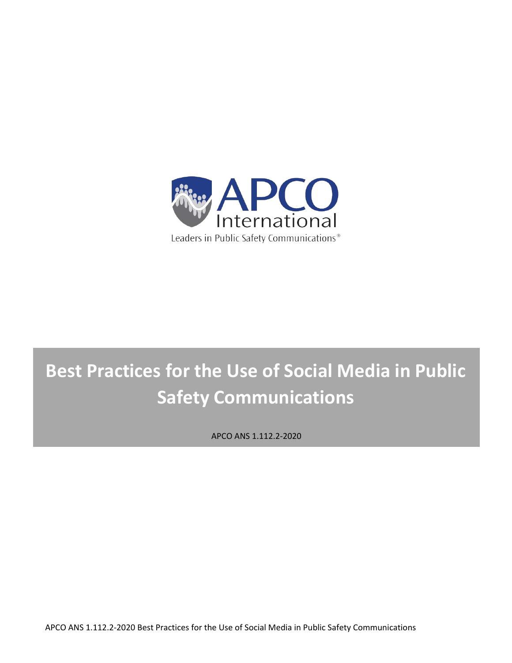

# **Best Practices for the Use of Social Media in Public Safety Communications**

APCO ANS 1.112.2-2020

APCO ANS 1.112.2-2020 Best Practices for the Use of Social Media in Public Safety Communications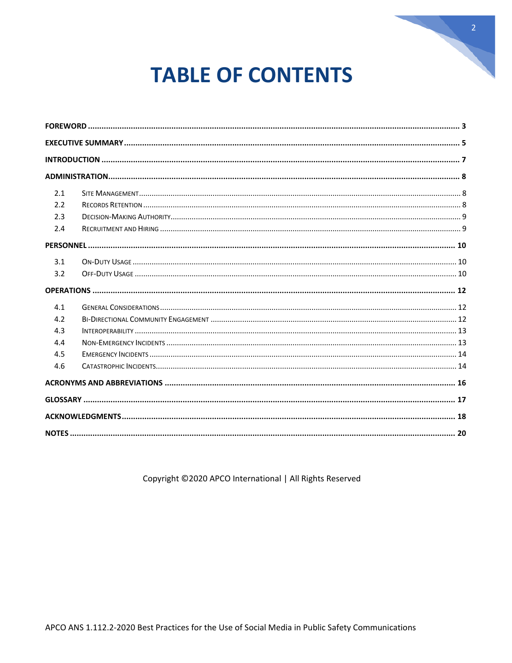

# **TABLE OF CONTENTS**

| 2.1 |  |  |
|-----|--|--|
| 2.2 |  |  |
| 2.3 |  |  |
| 2.4 |  |  |
|     |  |  |
| 3.1 |  |  |
| 3.2 |  |  |
|     |  |  |
| 4.1 |  |  |
| 4.2 |  |  |
| 4.3 |  |  |
| 4.4 |  |  |
| 4.5 |  |  |
| 4.6 |  |  |
|     |  |  |
|     |  |  |
|     |  |  |
|     |  |  |

Copyright ©2020 APCO International | All Rights Reserved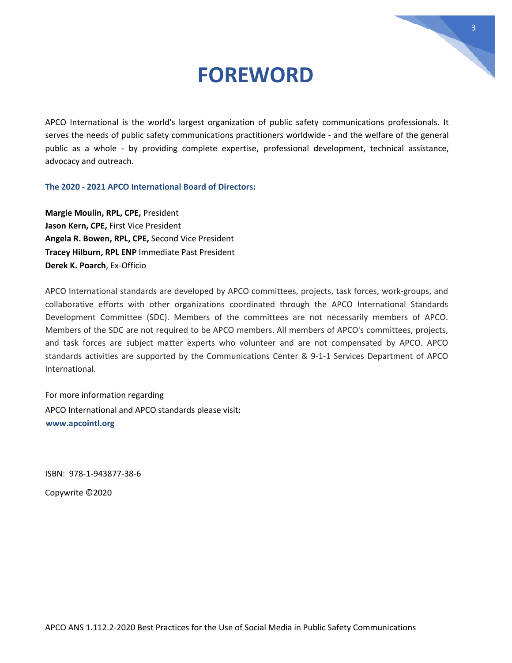### **FOREWORD**

3

<span id="page-2-0"></span>APCO International is the world's largest organization of public safety communications professionals. It serves the needs of public safety communications practitioners worldwide - and the welfare of the general public as a whole - by providing complete expertise, professional development, technical assistance, advocacy and outreach.

**The 2020 - 2021 APCO International Board of Directors:** 

**Margie Moulin, RPL, CPE,** President **Jason Kern, CPE,** First Vice President **Angela R. Bowen, RPL, CPE,** Second Vice President **Tracey Hilburn, RPL ENP** Immediate Past President **Derek K. Poarch**, Ex-Officio

APCO International standards are developed by APCO committees, projects, task forces, work-groups, and collaborative efforts with other organizations coordinated through the APCO International Standards Development Committee (SDC). Members of the committees are not necessarily members of APCO. Members of the SDC are not required to be APCO members. All members of APCO's committees, projects, and task forces are subject matter experts who volunteer and are not compensated by APCO. APCO standards activities are supported by the Communications Center & 9-1-1 Services Department of APCO International.

For more information regarding APCO International and APCO standards please visit: **[www.apcointl.org](http://www.apcointl.org/)**

ISBN: 978-1-943877-38-6

Copywrite ©2020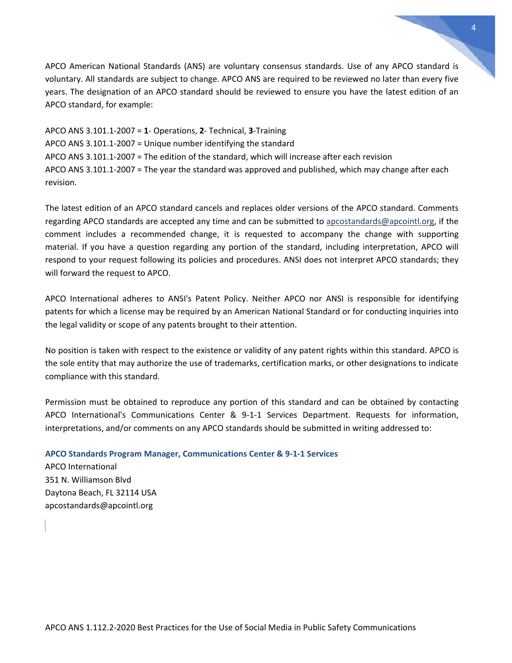APCO American National Standards (ANS) are voluntary consensus standards. Use of any APCO standard is voluntary. All standards are subject to change. APCO ANS are required to be reviewed no later than every five years. The designation of an APCO standard should be reviewed to ensure you have the latest edition of an APCO standard, for example:

APCO ANS 3.101.1-2007 = **1**- Operations, **2**- Technical, **3**-Training APCO ANS 3.101.1-2007 = Unique number identifying the standard APCO ANS 3.101.1-2007 = The edition of the standard, which will increase after each revision APCO ANS 3.101.1-2007 = The year the standard was approved and published, which may change after each revision.

The latest edition of an APCO standard cancels and replaces older versions of the APCO standard. Comments regarding APCO standards are accepted any time and can be submitted to [apcostandards@apcointl.org,](mailto:apcostandards@apcointl.org) if the comment includes a recommended change, it is requested to accompany the change with supporting material. If you have a question regarding any portion of the standard, including interpretation, APCO will respond to your request following its policies and procedures. ANSI does not interpret APCO standards; they will forward the request to APCO.

APCO International adheres to ANSI's Patent Policy. Neither APCO nor ANSI is responsible for identifying patents for which a license may be required by an American National Standard or for conducting inquiries into the legal validity or scope of any patents brought to their attention.

No position is taken with respect to the existence or validity of any patent rights within this standard. APCO is the sole entity that may authorize the use of trademarks, certification marks, or other designations to indicate compliance with this standard.

Permission must be obtained to reproduce any portion of this standard and can be obtained by contacting APCO International's Communications Center & 9-1-1 Services Department. Requests for information, interpretations, and/or comments on any APCO standards should be submitted in writing addressed to:

#### **APCO Standards Program Manager, Communications Center & 9-1-1 Services**

APCO International 351 N. Williamson Blvd Daytona Beach, FL 32114 USA apcostandards@apcointl.org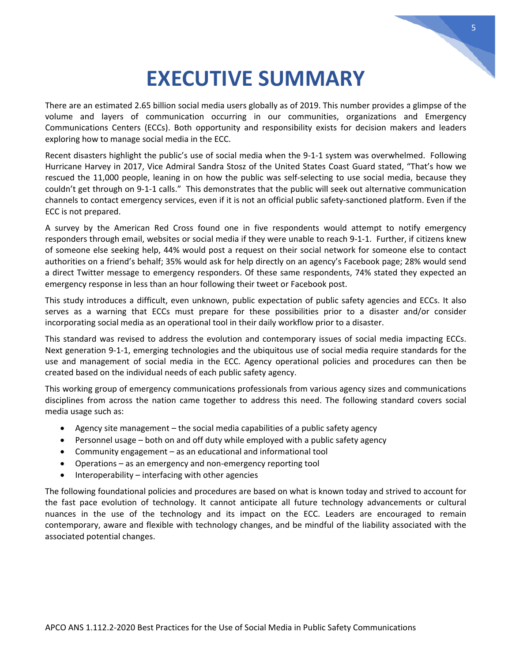# **EXECUTIVE SUMMARY**

<span id="page-4-0"></span>There are an estimated 2.65 billion social media users globally as of 2019. This number provides a glimpse of the volume and layers of communication occurring in our communities, organizations and Emergency Communications Centers (ECCs). Both opportunity and responsibility exists for decision makers and leaders exploring how to manage social media in the ECC.

Recent disasters highlight the public's use of social media when the 9-1-1 system was overwhelmed. Following Hurricane Harvey in 2017, Vice Admiral Sandra Stosz of the United States Coast Guard stated, "That's how we rescued the 11,000 people, leaning in on how the public was self-selecting to use social media, because they couldn't get through on 9-1-1 calls." This demonstrates that the public will seek out alternative communication channels to contact emergency services, even if it is not an official public safety-sanctioned platform. Even if the ECC is not prepared.

A survey by the American Red Cross found one in five respondents would attempt to notify emergency responders through email, websites or social media if they were unable to reach 9-1-1. Further, if citizens knew of someone else seeking help, 44% would post a request on their social network for someone else to contact authorities on a friend's behalf; 35% would ask for help directly on an agency's Facebook page; 28% would send a direct Twitter message to emergency responders. Of these same respondents, 74% stated they expected an emergency response in less than an hour following their tweet or Facebook post.

This study introduces a difficult, even unknown, public expectation of public safety agencies and ECCs. It also serves as a warning that ECCs must prepare for these possibilities prior to a disaster and/or consider incorporating social media as an operational tool in their daily workflow prior to a disaster.

This standard was revised to address the evolution and contemporary issues of social media impacting ECCs. Next generation 9-1-1, emerging technologies and the ubiquitous use of social media require standards for the use and management of social media in the ECC. Agency operational policies and procedures can then be created based on the individual needs of each public safety agency.

This working group of emergency communications professionals from various agency sizes and communications disciplines from across the nation came together to address this need. The following standard covers social media usage such as:

- Agency site management the social media capabilities of a public safety agency
- Personnel usage both on and off duty while employed with a public safety agency
- Community engagement as an educational and informational tool
- Operations as an emergency and non-emergency reporting tool
- Interoperability  $-$  interfacing with other agencies

The following foundational policies and procedures are based on what is known today and strived to account for the fast pace evolution of technology. It cannot anticipate all future technology advancements or cultural nuances in the use of the technology and its impact on the ECC. Leaders are encouraged to remain contemporary, aware and flexible with technology changes, and be mindful of the liability associated with the associated potential changes.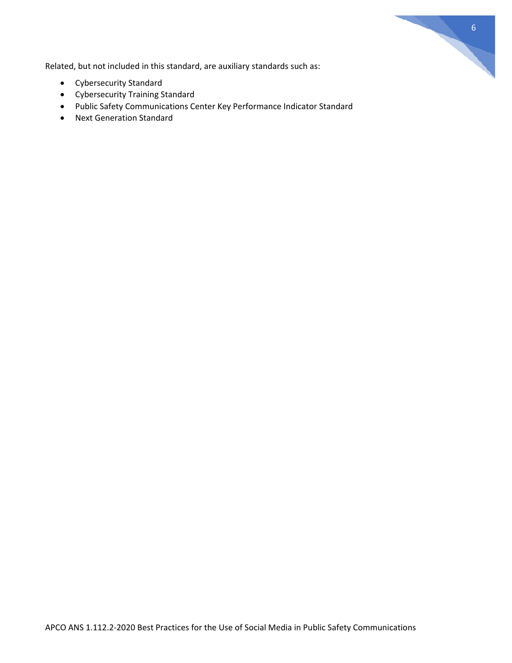

Related, but not included in this standard, are auxiliary standards such as:

- Cybersecurity Standard
- Cybersecurity Training Standard
- Public Safety Communications Center Key Performance Indicator Standard
- Next Generation Standard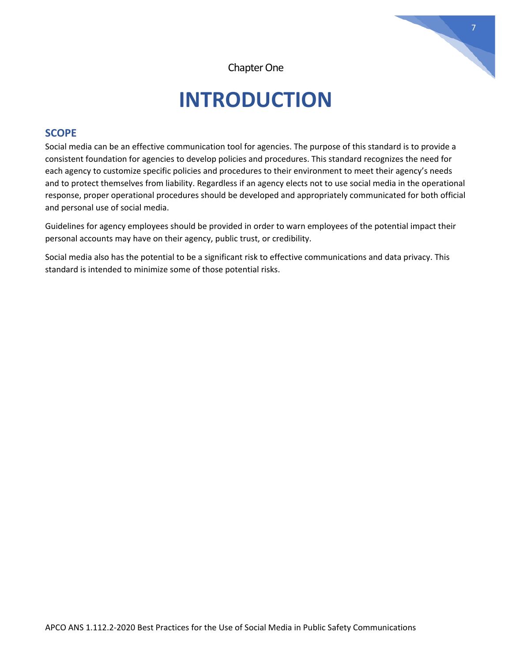

Chapter One

# **INTRODUCTION**

### <span id="page-6-0"></span>**SCOPE**

Social media can be an effective communication tool for agencies. The purpose of this standard is to provide a consistent foundation for agencies to develop policies and procedures. This standard recognizes the need for each agency to customize specific policies and procedures to their environment to meet their agency's needs and to protect themselves from liability. Regardless if an agency elects not to use social media in the operational response, proper operational procedures should be developed and appropriately communicated for both official and personal use of social media.

Guidelines for agency employees should be provided in order to warn employees of the potential impact their personal accounts may have on their agency, public trust, or credibility.

Social media also has the potential to be a significant risk to effective communications and data privacy. This standard is intended to minimize some of those potential risks.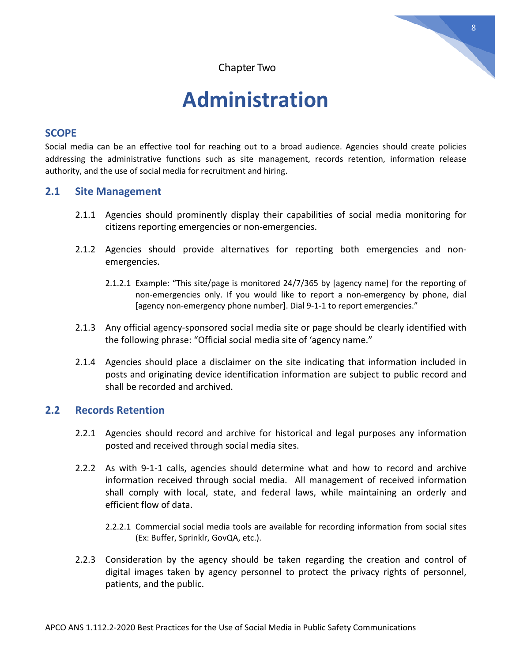

# **Administration**

### <span id="page-7-0"></span>**SCOPE**

Social media can be an effective tool for reaching out to a broad audience. Agencies should create policies addressing the administrative functions such as site management, records retention, information release authority, and the use of social media for recruitment and hiring.

### <span id="page-7-1"></span>**2.1 Site Management**

- 2.1.1 Agencies should prominently display their capabilities of social media monitoring for citizens reporting emergencies or non-emergencies.
- 2.1.2 Agencies should provide alternatives for reporting both emergencies and nonemergencies.
	- 2.1.2.1 Example: "This site/page is monitored 24/7/365 by [agency name] for the reporting of non-emergencies only. If you would like to report a non-emergency by phone, dial [agency non-emergency phone number]. Dial 9-1-1 to report emergencies."
- 2.1.3 Any official agency-sponsored social media site or page should be clearly identified with the following phrase: "Official social media site of 'agency name."
- 2.1.4 Agencies should place a disclaimer on the site indicating that information included in posts and originating device identification information are subject to public record and shall be recorded and archived.

### <span id="page-7-2"></span>**2.2 Records Retention**

- 2.2.1 Agencies should record and archive for historical and legal purposes any information posted and received through social media sites.
- 2.2.2 As with 9-1-1 calls, agencies should determine what and how to record and archive information received through social media. All management of received information shall comply with local, state, and federal laws, while maintaining an orderly and efficient flow of data.
	- 2.2.2.1 Commercial social media tools are available for recording information from social sites (Ex: Buffer, Sprinklr, GovQA, etc.).
- 2.2.3 Consideration by the agency should be taken regarding the creation and control of digital images taken by agency personnel to protect the privacy rights of personnel, patients, and the public.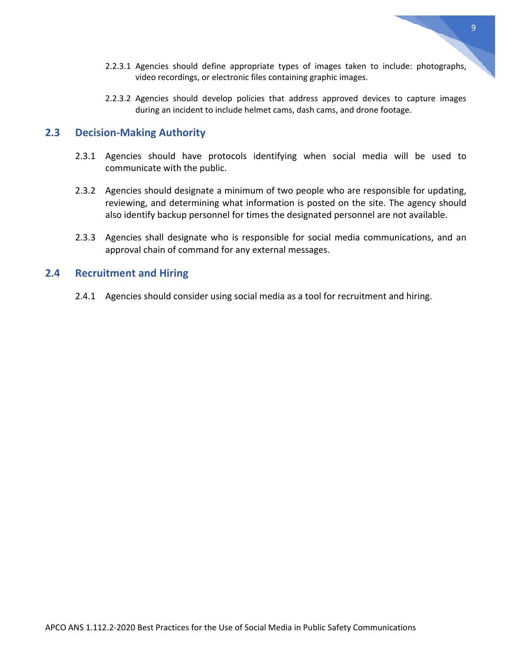- 2.2.3.1 Agencies should define appropriate types of images taken to include: photographs, video recordings, or electronic files containing graphic images.
- 2.2.3.2 Agencies should develop policies that address approved devices to capture images during an incident to include helmet cams, dash cams, and drone footage.

#### <span id="page-8-0"></span>**2.3 Decision-Making Authority**

- 2.3.1 Agencies should have protocols identifying when social media will be used to communicate with the public.
- 2.3.2 Agencies should designate a minimum of two people who are responsible for updating, reviewing, and determining what information is posted on the site. The agency should also identify backup personnel for times the designated personnel are not available.
- 2.3.3 Agencies shall designate who is responsible for social media communications, and an approval chain of command for any external messages.

### <span id="page-8-1"></span>**2.4 Recruitment and Hiring**

2.4.1 Agencies should consider using social media as a tool for recruitment and hiring.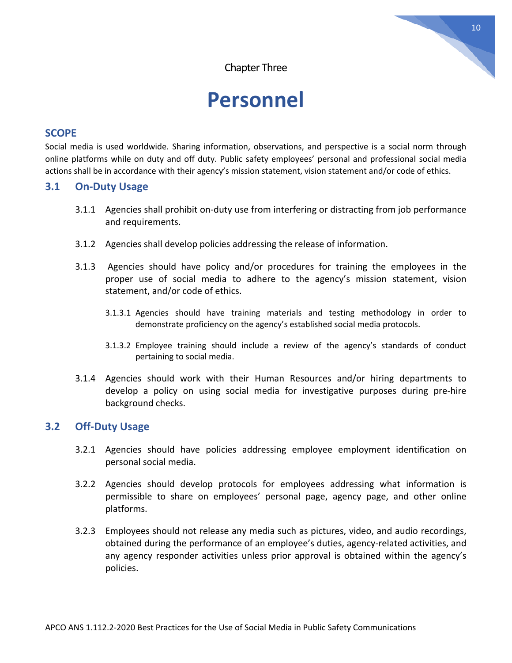Chapter Three

# **Personnel**

#### <span id="page-9-0"></span>**SCOPE**

Social media is used worldwide. Sharing information, observations, and perspective is a social norm through online platforms while on duty and off duty. Public safety employees' personal and professional social media actions shall be in accordance with their agency's mission statement, vision statement and/or code of ethics.

### **3.1 On-Duty Usage**

- <span id="page-9-1"></span>3.1.1 Agencies shall prohibit on-duty use from interfering or distracting from job performance and requirements.
- 3.1.2 Agencies shall develop policies addressing the release of information.
- 3.1.3 Agencies should have policy and/or procedures for training the employees in the proper use of social media to adhere to the agency's mission statement, vision statement, and/or code of ethics.
	- 3.1.3.1 Agencies should have training materials and testing methodology in order to demonstrate proficiency on the agency's established social media protocols.
	- 3.1.3.2 Employee training should include a review of the agency's standards of conduct pertaining to social media.
- 3.1.4 Agencies should work with their Human Resources and/or hiring departments to develop a policy on using social media for investigative purposes during pre-hire background checks.

### <span id="page-9-2"></span>**3.2 Off-Duty Usage**

- 3.2.1 Agencies should have policies addressing employee employment identification on personal social media.
- 3.2.2 Agencies should develop protocols for employees addressing what information is permissible to share on employees' personal page, agency page, and other online platforms.
- 3.2.3 Employees should not release any media such as pictures, video, and audio recordings, obtained during the performance of an employee's duties, agency-related activities, and any agency responder activities unless prior approval is obtained within the agency's policies.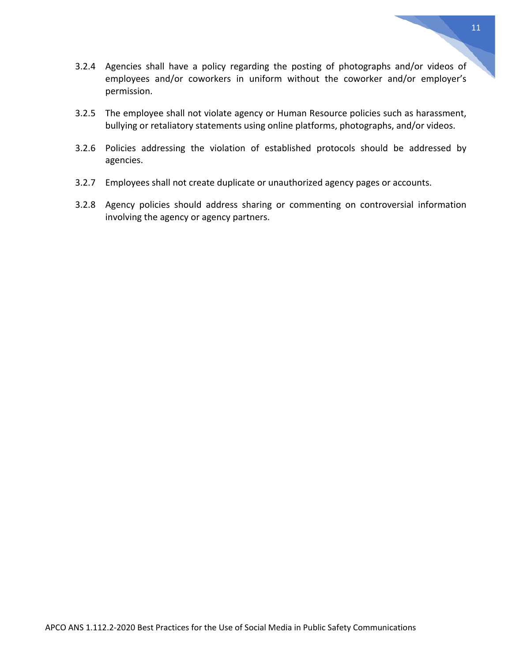- 
- APCO ANS 1.112.2-2020 Best Practices for the Use of Social Media in Public Safety Communications
- 3.2.4 Agencies shall have a policy regarding the posting of photographs and/or videos of employees and/or coworkers in uniform without the coworker and/or employer's permission.
- 3.2.5 The employee shall not violate agency or Human Resource policies such as harassment, bullying or retaliatory statements using online platforms, photographs, and/or videos.
- 3.2.6 Policies addressing the violation of established protocols should be addressed by agencies.
- 3.2.7 Employees shall not create duplicate or unauthorized agency pages or accounts.
- 3.2.8 Agency policies should address sharing or commenting on controversial information involving the agency or agency partners.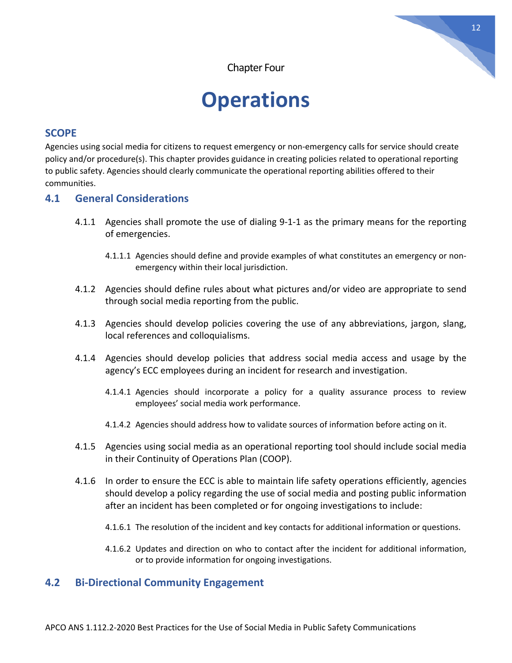Chapter Four

# **Operations**

### <span id="page-11-0"></span>**SCOPE**

Agencies using social media for citizens to request emergency or non-emergency calls for service should create policy and/or procedure(s). This chapter provides guidance in creating policies related to operational reporting to public safety. Agencies should clearly communicate the operational reporting abilities offered to their communities.

### **4.1 General Considerations**

- <span id="page-11-1"></span>4.1.1 Agencies shall promote the use of dialing 9-1-1 as the primary means for the reporting of emergencies.
	- 4.1.1.1 Agencies should define and provide examples of what constitutes an emergency or nonemergency within their local jurisdiction.
- 4.1.2 Agencies should define rules about what pictures and/or video are appropriate to send through social media reporting from the public.
- 4.1.3 Agencies should develop policies covering the use of any abbreviations, jargon, slang, local references and colloquialisms.
- 4.1.4 Agencies should develop policies that address social media access and usage by the agency's ECC employees during an incident for research and investigation.
	- 4.1.4.1 Agencies should incorporate a policy for a quality assurance process to review employees' social media work performance.
	- 4.1.4.2 Agencies should address how to validate sources of information before acting on it.
- 4.1.5 Agencies using social media as an operational reporting tool should include social media in their Continuity of Operations Plan (COOP).
- 4.1.6 In order to ensure the ECC is able to maintain life safety operations efficiently, agencies should develop a policy regarding the use of social media and posting public information after an incident has been completed or for ongoing investigations to include:
	- 4.1.6.1 The resolution of the incident and key contacts for additional information or questions.
	- 4.1.6.2 Updates and direction on who to contact after the incident for additional information, or to provide information for ongoing investigations.

### <span id="page-11-2"></span>**4.2 Bi-Directional Community Engagement**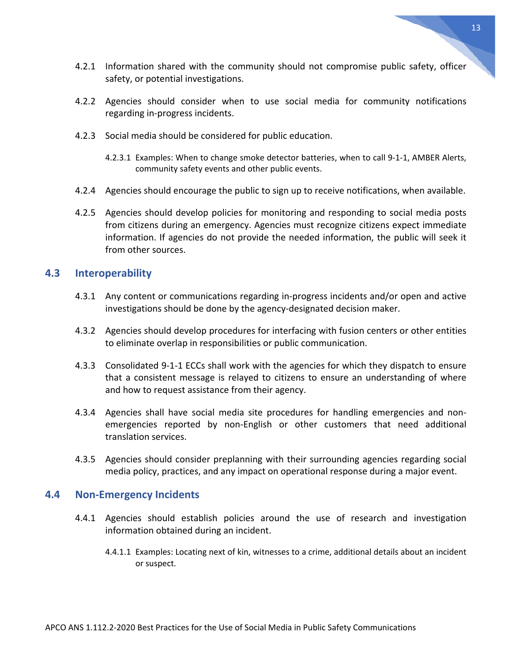- 4.2.1 Information shared with the community should not compromise public safety, officer safety, or potential investigations.
- 4.2.2 Agencies should consider when to use social media for community notifications regarding in-progress incidents.
- 4.2.3 Social media should be considered for public education.
	- 4.2.3.1 Examples: When to change smoke detector batteries, when to call 9-1-1, AMBER Alerts, community safety events and other public events.
- 4.2.4 Agencies should encourage the public to sign up to receive notifications, when available.
- 4.2.5 Agencies should develop policies for monitoring and responding to social media posts from citizens during an emergency. Agencies must recognize citizens expect immediate information. If agencies do not provide the needed information, the public will seek it from other sources.

#### <span id="page-12-0"></span>**4.3 Interoperability**

- 4.3.1 Any content or communications regarding in-progress incidents and/or open and active investigations should be done by the agency-designated decision maker.
- 4.3.2 Agencies should develop procedures for interfacing with fusion centers or other entities to eliminate overlap in responsibilities or public communication.
- 4.3.3 Consolidated 9-1-1 ECCs shall work with the agencies for which they dispatch to ensure that a consistent message is relayed to citizens to ensure an understanding of where and how to request assistance from their agency.
- 4.3.4 Agencies shall have social media site procedures for handling emergencies and nonemergencies reported by non-English or other customers that need additional translation services.
- 4.3.5 Agencies should consider preplanning with their surrounding agencies regarding social media policy, practices, and any impact on operational response during a major event.

#### <span id="page-12-1"></span>**4.4 Non-Emergency Incidents**

- 4.4.1 Agencies should establish policies around the use of research and investigation information obtained during an incident.
	- 4.4.1.1 Examples: Locating next of kin, witnesses to a crime, additional details about an incident or suspect.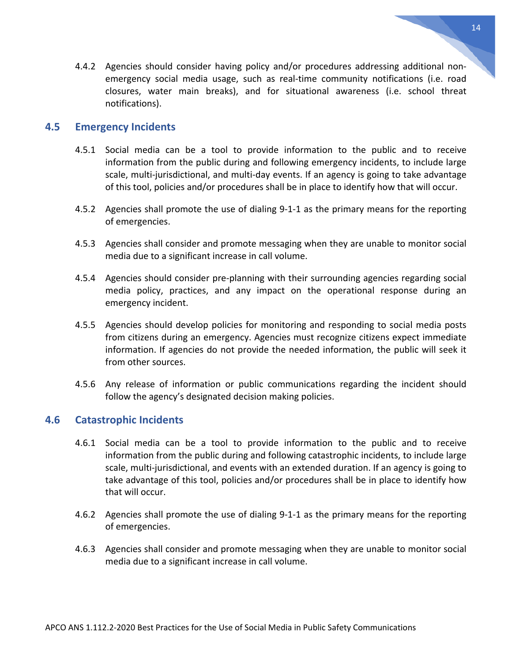4.4.2 Agencies should consider having policy and/or procedures addressing additional nonemergency social media usage, such as real-time community notifications (i.e. road closures, water main breaks), and for situational awareness (i.e. school threat notifications).

#### <span id="page-13-0"></span>**4.5 Emergency Incidents**

- 4.5.1 Social media can be a tool to provide information to the public and to receive information from the public during and following emergency incidents, to include large scale, multi-jurisdictional, and multi-day events. If an agency is going to take advantage of this tool, policies and/or procedures shall be in place to identify how that will occur.
- 4.5.2 Agencies shall promote the use of dialing 9-1-1 as the primary means for the reporting of emergencies.
- 4.5.3 Agencies shall consider and promote messaging when they are unable to monitor social media due to a significant increase in call volume.
- 4.5.4 Agencies should consider pre-planning with their surrounding agencies regarding social media policy, practices, and any impact on the operational response during an emergency incident.
- 4.5.5 Agencies should develop policies for monitoring and responding to social media posts from citizens during an emergency. Agencies must recognize citizens expect immediate information. If agencies do not provide the needed information, the public will seek it from other sources.
- 4.5.6 Any release of information or public communications regarding the incident should follow the agency's designated decision making policies.

### <span id="page-13-1"></span>**4.6 Catastrophic Incidents**

- 4.6.1 Social media can be a tool to provide information to the public and to receive information from the public during and following catastrophic incidents, to include large scale, multi-jurisdictional, and events with an extended duration. If an agency is going to take advantage of this tool, policies and/or procedures shall be in place to identify how that will occur.
- 4.6.2 Agencies shall promote the use of dialing 9-1-1 as the primary means for the reporting of emergencies.
- 4.6.3 Agencies shall consider and promote messaging when they are unable to monitor social media due to a significant increase in call volume.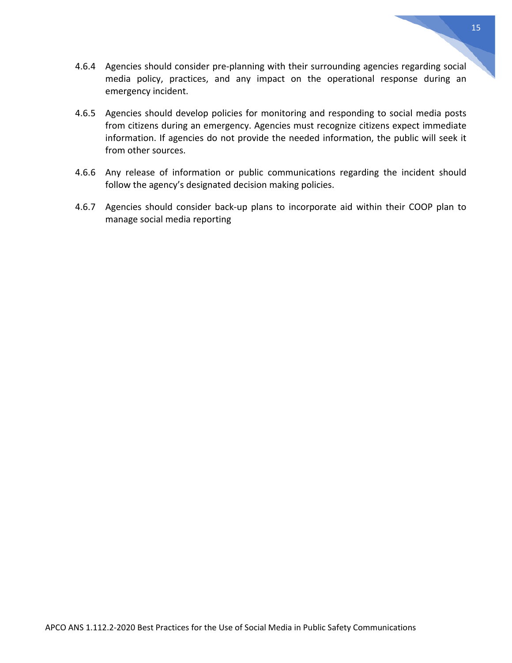APCO ANS 1.112.2-2020 Best Practices for the Use of Social Media in Public Safety Communications

- 4.6.4 Agencies should consider pre-planning with their surrounding agencies regarding social media policy, practices, and any impact on the operational response during an emergency incident.
- 4.6.5 Agencies should develop policies for monitoring and responding to social media posts from citizens during an emergency. Agencies must recognize citizens expect immediate information. If agencies do not provide the needed information, the public will seek it from other sources.
- 4.6.6 Any release of information or public communications regarding the incident should follow the agency's designated decision making policies.
- <span id="page-14-0"></span>4.6.7 Agencies should consider back-up plans to incorporate aid within their COOP plan to manage social media reporting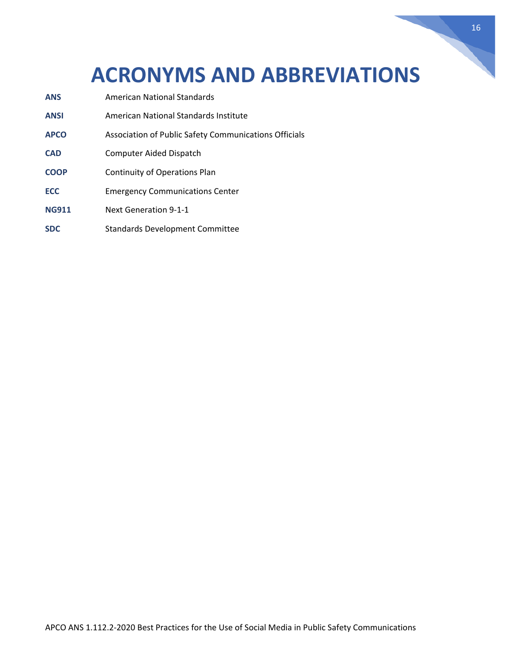# **ACRONYMS AND ABBREVIATIONS**

- **ANS** American National Standards **ANSI** American National Standards Institute **APCO** Association of Public Safety Communications Officials **CAD** Computer Aided Dispatch **COOP** Continuity of Operations Plan **ECC** Emergency Communications Center
- **NG911** Next Generation 9-1-1
- **SDC** Standards Development Committee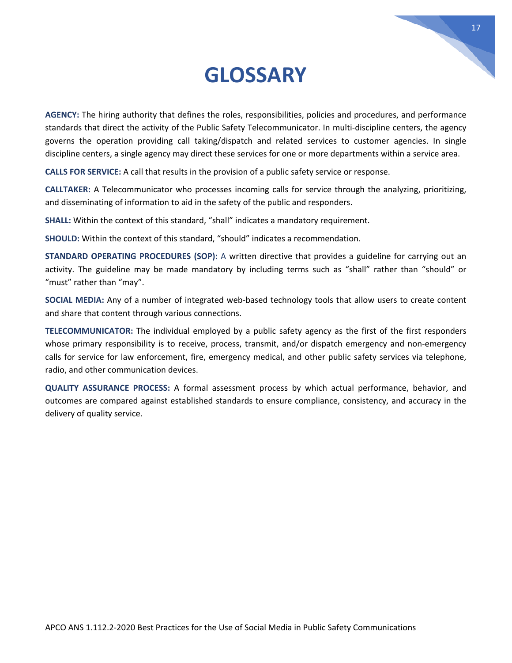# **GLOSSARY**

<span id="page-16-0"></span>**AGENCY:** The hiring authority that defines the roles, responsibilities, policies and procedures, and performance standards that direct the activity of the Public Safety Telecommunicator. In multi-discipline centers, the agency governs the operation providing call taking/dispatch and related services to customer agencies. In single discipline centers, a single agency may direct these services for one or more departments within a service area.

**CALLS FOR SERVICE:** A call that results in the provision of a public safety service or response.

**CALLTAKER:** A Telecommunicator who processes incoming calls for service through the analyzing, prioritizing, and disseminating of information to aid in the safety of the public and responders.

**SHALL:** Within the context of this standard, "shall" indicates a mandatory requirement.

**SHOULD:** Within the context of this standard, "should" indicates a recommendation.

**STANDARD OPERATING PROCEDURES (SOP):** A written directive that provides a guideline for carrying out an activity. The guideline may be made mandatory by including terms such as "shall" rather than "should" or "must" rather than "may".

**SOCIAL MEDIA:** Any of a number of integrated web-based technology tools that allow users to create content and share that content through various connections.

**TELECOMMUNICATOR:** The individual employed by a public safety agency as the first of the first responders whose primary responsibility is to receive, process, transmit, and/or dispatch emergency and non-emergency calls for service for law enforcement, fire, emergency medical, and other public safety services via telephone, radio, and other communication devices.

**QUALITY ASSURANCE PROCESS:** A formal assessment process by which actual performance, behavior, and outcomes are compared against established standards to ensure compliance, consistency, and accuracy in the delivery of quality service.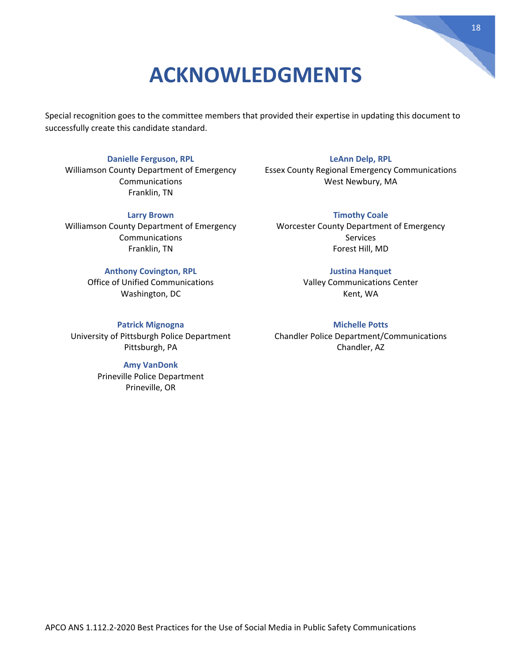# **ACKNOWLEDGMENTS**

<span id="page-17-0"></span>Special recognition goes to the committee members that provided their expertise in updating this document to successfully create this candidate standard.

#### **Danielle Ferguson, RPL**

Williamson County Department of Emergency Communications Franklin, TN

#### **Larry Brown**

Williamson County Department of Emergency Communications Franklin, TN

#### **Anthony Covington, RPL**

Office of Unified Communications Washington, DC

#### **Patrick Mignogna**

University of Pittsburgh Police Department Pittsburgh, PA

#### **Amy VanDonk**

Prineville Police Department Prineville, OR

**LeAnn Delp, RPL** Essex County Regional Emergency Communications West Newbury, MA

**Timothy Coale** Worcester County Department of Emergency Services Forest Hill, MD

#### **Justina Hanquet**

Valley Communications Center Kent, WA

**Michelle Potts** Chandler Police Department/Communications Chandler, AZ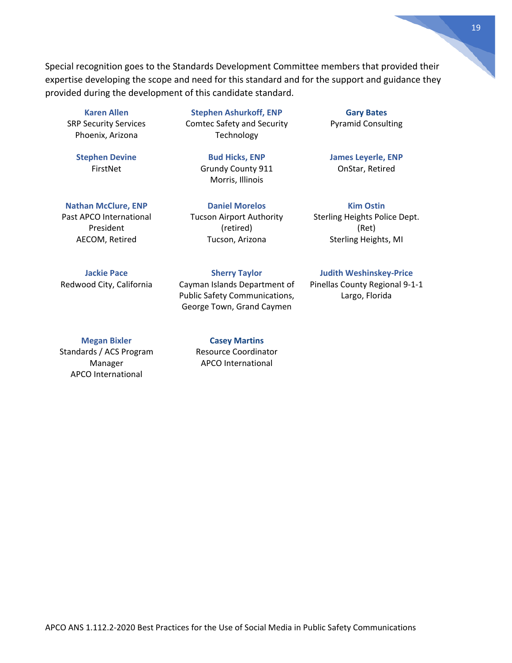Special recognition goes to the Standards Development Committee members that provided their expertise developing the scope and need for this standard and for the support and guidance they provided during the development of this candidate standard.

#### **Karen Allen**

SRP Security Services Phoenix, Arizona

> **Stephen Devine** FirstNet

**Stephen Ashurkoff, ENP** Comtec Safety and Security Technology

> **Bud Hicks, ENP** Grundy County 911 Morris, Illinois

**Nathan McClure, ENP** Past APCO International President AECOM, Retired

**Jackie Pace** Redwood City, California

**Daniel Morelos** Tucson Airport Authority (retired) Tucson, Arizona

**Sherry Taylor**

Cayman Islands Department of Public Safety Communications, George Town, Grand Caymen

#### **Megan Bixler**

Standards / ACS Program Manager APCO International

**Casey Martins** Resource Coordinator APCO International

**Gary Bates** Pyramid Consulting

**James Leyerle, ENP**  OnStar, Retired

**Kim Ostin** Sterling Heights Police Dept. (Ret) Sterling Heights, MI

#### **Judith Weshinskey-Price**

Pinellas County Regional 9-1-1 Largo, Florida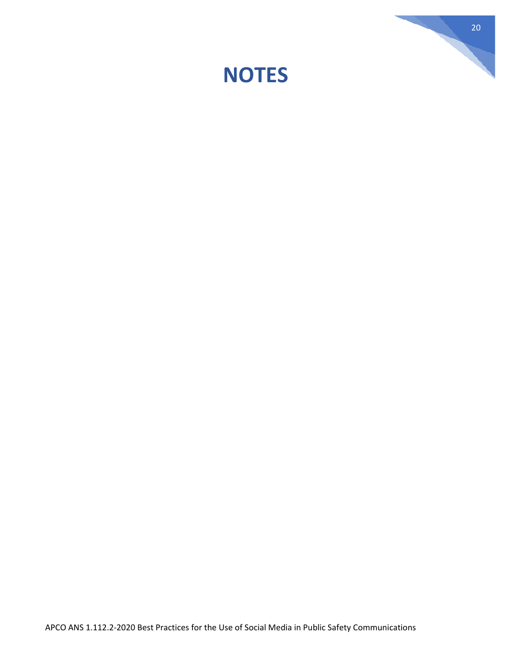<span id="page-19-0"></span>